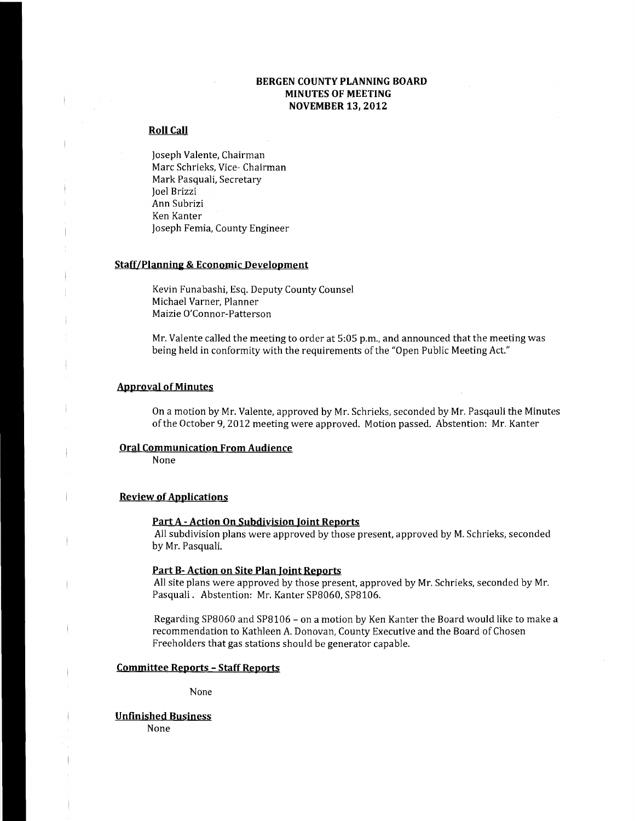### **BERGEN COUNTY PLANNING BOARD MINUTES OF MEETING NOVEMBER 13, 2012**

#### **Roll Call**

Joseph Valente, Chairman Marc Schrieks, Vice- Chairman Mark Pasquali, Secretary Joel Brizzi Ann Subrizi Ken Kanter Joseph Femia, County Engineer

#### **Staff/Planning & Economic Development**

Kevin Funabashi, Esq. Deputy County Counsel Michael Varner, Planner Maizie O'Connor-Patterson

Mr. Valente called the meeting to order at 5:05 p.m., and announced that the meeting was being held in conformity with the requirements of the "Open Public Meeting Act."

#### **Approval of Minutes**

 $\frac{1}{1}$ 

On a motion by Mr. Valente, approved by Mr. Schrieks, seconded by Mr. Pasqauli the Minutes of the October 9,2012 meeting were approved. Motion passed. Abstention: Mr. Kanter

#### **Oral Communication From Audience**

None

#### **Review of Applications**

#### **Part A - Action On Subdivision Ioint Reports**

All subdivision plans were approved by those present, approved by M. Schrieks, seconded by Mr. Pasquali.

#### **Part B- Action on Site Plan Joint Reports**

All site plans were approved by those present, approved by Mr. Schrieks, seconded by Mr. Pasquali. Abstention: Mr. Kanter SP8060, SP8106.

Regarding SP8060 and SP8106 - on a motion by Ken Kanter the Board would like to make a recommendation to Kathleen A. Donovan, County Executive and the Board of Chosen Freeholders that gas stations should be generator capable.

#### **Committee Reports - Staff Reports**

None

#### **Unfinished Business**

None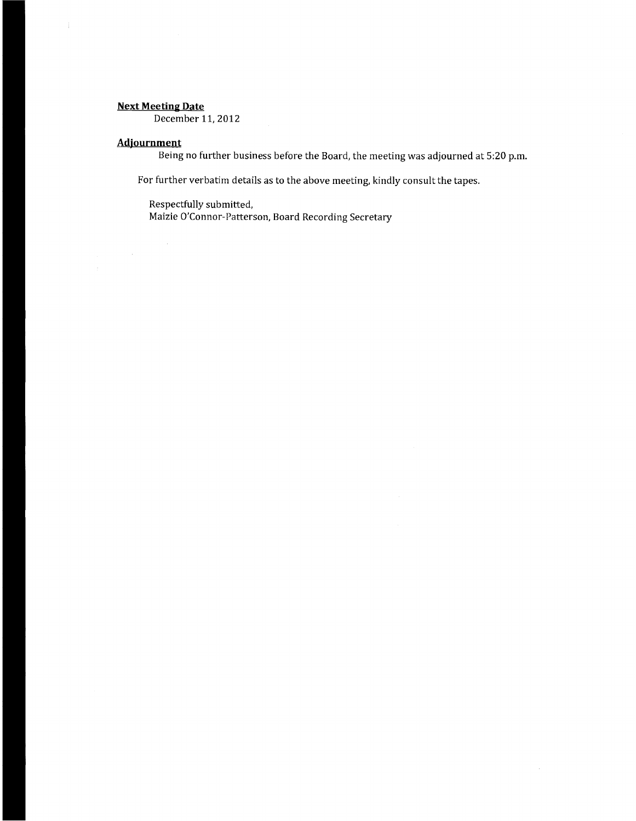## Next **Meeting Date**

December 11, 2012

# **Adjournment**

Being no further business before the Board, the meeting was adjourned at 5:20 p.m.

For further verbatim details as to the above meeting, kindly consult the tapes.

Respectfully submitted, Maizie O'Connor-Patterson, Board Recording Secretary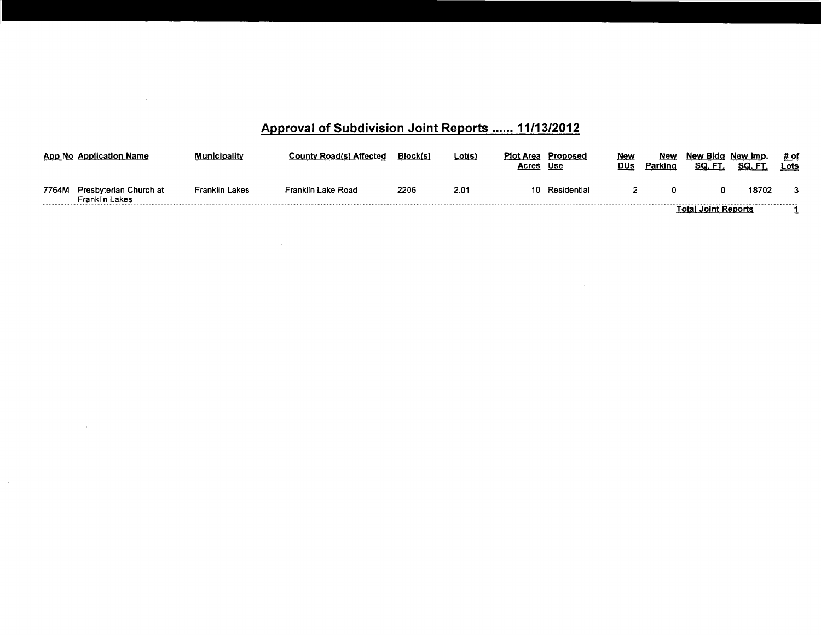# Approval of Subdivision Joint Reports ...... 11/13/2012

|       | <b>App No Application Name</b>                  | Municipality   | <b>County Road(s) Affected</b> | Block(s) | <u>Lot(s)</u> | Plot Area<br>Proposed<br><b>Acres</b><br><u>Use</u> | <u>New</u><br>DUs | New<br>Parking | New Bida New Imp.<br>SQ. FT | SQ. FT | # of<br>Lots |
|-------|-------------------------------------------------|----------------|--------------------------------|----------|---------------|-----------------------------------------------------|-------------------|----------------|-----------------------------|--------|--------------|
| 7764M | Presbyterian Church at<br><b>Franklin Lakes</b> | Franklin Lakes | Franklin Lake Road             | 2206     | 2.01          | 10 Residential                                      |                   |                |                             | 18702  | 3            |
|       |                                                 |                |                                |          |               |                                                     |                   |                | Total Joint Reports         |        |              |